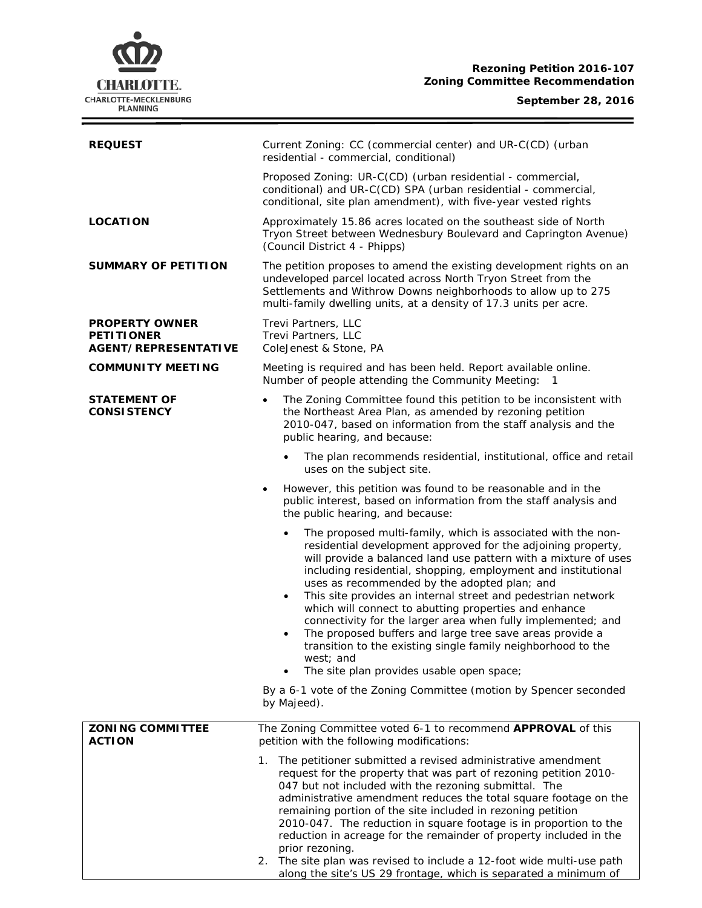# **CHARLOTTE.** CHARLOTTE-MECKLENBURG<br>PLANNING

#### **September 28, 2016**

Ξ

| <b>REQUEST</b>                                                            | Current Zoning: CC (commercial center) and UR-C(CD) (urban<br>residential - commercial, conditional)                                                                                                                                                                                                                                                                                                                                                                                                                                                                                                                                                                                                                      |  |  |
|---------------------------------------------------------------------------|---------------------------------------------------------------------------------------------------------------------------------------------------------------------------------------------------------------------------------------------------------------------------------------------------------------------------------------------------------------------------------------------------------------------------------------------------------------------------------------------------------------------------------------------------------------------------------------------------------------------------------------------------------------------------------------------------------------------------|--|--|
|                                                                           | Proposed Zoning: UR-C(CD) (urban residential - commercial,<br>conditional) and UR-C(CD) SPA (urban residential - commercial,<br>conditional, site plan amendment), with five-year vested rights                                                                                                                                                                                                                                                                                                                                                                                                                                                                                                                           |  |  |
| <b>LOCATION</b>                                                           | Approximately 15.86 acres located on the southeast side of North<br>Tryon Street between Wednesbury Boulevard and Caprington Avenue)<br>(Council District 4 - Phipps)                                                                                                                                                                                                                                                                                                                                                                                                                                                                                                                                                     |  |  |
| <b>SUMMARY OF PETITION</b>                                                | The petition proposes to amend the existing development rights on an<br>undeveloped parcel located across North Tryon Street from the<br>Settlements and Withrow Downs neighborhoods to allow up to 275<br>multi-family dwelling units, at a density of 17.3 units per acre.                                                                                                                                                                                                                                                                                                                                                                                                                                              |  |  |
| <b>PROPERTY OWNER</b><br><b>PETITIONER</b><br><b>AGENT/REPRESENTATIVE</b> | Trevi Partners, LLC<br>Trevi Partners, LLC<br>ColeJenest & Stone, PA                                                                                                                                                                                                                                                                                                                                                                                                                                                                                                                                                                                                                                                      |  |  |
| <b>COMMUNITY MEETING</b>                                                  | Meeting is required and has been held. Report available online.<br>Number of people attending the Community Meeting: 1                                                                                                                                                                                                                                                                                                                                                                                                                                                                                                                                                                                                    |  |  |
| <b>STATEMENT OF</b><br><b>CONSISTENCY</b>                                 | The Zoning Committee found this petition to be inconsistent with<br>$\bullet$<br>the Northeast Area Plan, as amended by rezoning petition<br>2010-047, based on information from the staff analysis and the<br>public hearing, and because:                                                                                                                                                                                                                                                                                                                                                                                                                                                                               |  |  |
|                                                                           | The plan recommends residential, institutional, office and retail<br>uses on the subject site.                                                                                                                                                                                                                                                                                                                                                                                                                                                                                                                                                                                                                            |  |  |
|                                                                           | However, this petition was found to be reasonable and in the<br>$\bullet$<br>public interest, based on information from the staff analysis and<br>the public hearing, and because:                                                                                                                                                                                                                                                                                                                                                                                                                                                                                                                                        |  |  |
|                                                                           | The proposed multi-family, which is associated with the non-<br>residential development approved for the adjoining property,<br>will provide a balanced land use pattern with a mixture of uses<br>including residential, shopping, employment and institutional<br>uses as recommended by the adopted plan; and<br>This site provides an internal street and pedestrian network<br>$\bullet$<br>which will connect to abutting properties and enhance<br>connectivity for the larger area when fully implemented; and<br>The proposed buffers and large tree save areas provide a<br>$\bullet$<br>transition to the existing single family neighborhood to the<br>west; and<br>The site plan provides usable open space; |  |  |
|                                                                           | By a 6-1 vote of the Zoning Committee (motion by Spencer seconded<br>by Majeed).                                                                                                                                                                                                                                                                                                                                                                                                                                                                                                                                                                                                                                          |  |  |
| <b>ZONING COMMITTEE</b><br><b>ACTION</b>                                  | The Zoning Committee voted 6-1 to recommend APPROVAL of this<br>petition with the following modifications:                                                                                                                                                                                                                                                                                                                                                                                                                                                                                                                                                                                                                |  |  |
|                                                                           | The petitioner submitted a revised administrative amendment<br>1.<br>request for the property that was part of rezoning petition 2010-<br>047 but not included with the rezoning submittal. The<br>administrative amendment reduces the total square footage on the<br>remaining portion of the site included in rezoning petition<br>2010-047. The reduction in square footage is in proportion to the<br>reduction in acreage for the remainder of property included in the<br>prior rezoning.<br>2. The site plan was revised to include a 12-foot wide multi-use path<br>along the site's US 29 frontage, which is separated a minimum of                                                                             |  |  |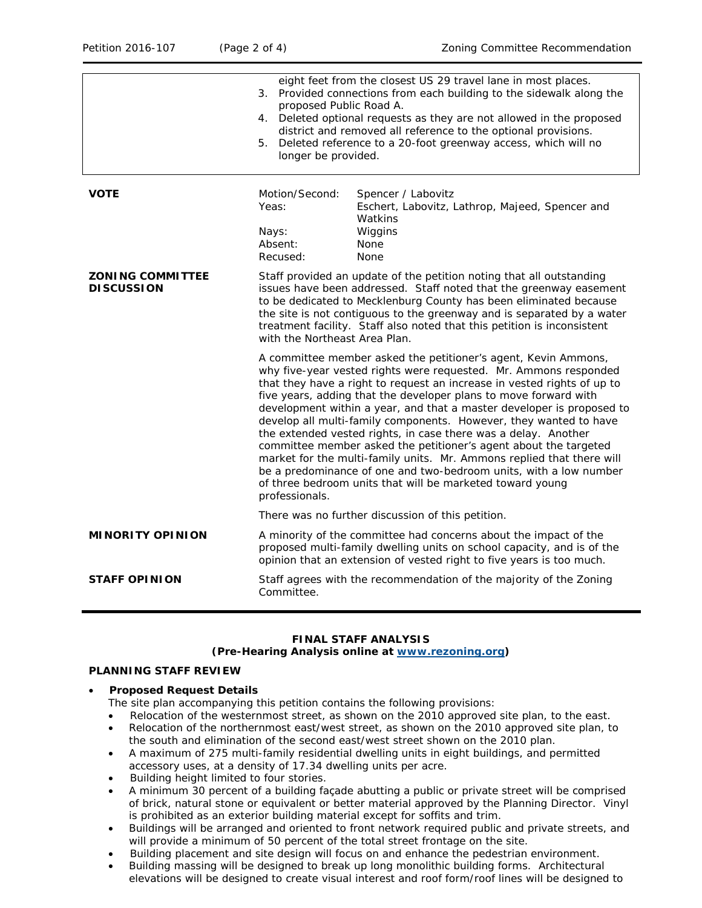|                                              | eight feet from the closest US 29 travel lane in most places.<br>3. Provided connections from each building to the sidewalk along the<br>proposed Public Road A.<br>4. Deleted optional requests as they are not allowed in the proposed<br>district and removed all reference to the optional provisions.<br>Deleted reference to a 20-foot greenway access, which will no<br>5.<br>longer be provided.                                                                                                                                                                                                                                                                                                                                                                                           |                                                                                                                                                                                                                                                                                                                                                                      |  |
|----------------------------------------------|----------------------------------------------------------------------------------------------------------------------------------------------------------------------------------------------------------------------------------------------------------------------------------------------------------------------------------------------------------------------------------------------------------------------------------------------------------------------------------------------------------------------------------------------------------------------------------------------------------------------------------------------------------------------------------------------------------------------------------------------------------------------------------------------------|----------------------------------------------------------------------------------------------------------------------------------------------------------------------------------------------------------------------------------------------------------------------------------------------------------------------------------------------------------------------|--|
| <b>VOTE</b>                                  | Motion/Second:<br>Yeas:<br>Nays:<br>Absent:<br>Recused:                                                                                                                                                                                                                                                                                                                                                                                                                                                                                                                                                                                                                                                                                                                                            | Spencer / Labovitz<br>Eschert, Labovitz, Lathrop, Majeed, Spencer and<br>Watkins<br>Wiggins<br>None<br><b>None</b>                                                                                                                                                                                                                                                   |  |
| <b>ZONING COMMITTEE</b><br><b>DISCUSSION</b> | with the Northeast Area Plan.                                                                                                                                                                                                                                                                                                                                                                                                                                                                                                                                                                                                                                                                                                                                                                      | Staff provided an update of the petition noting that all outstanding<br>issues have been addressed. Staff noted that the greenway easement<br>to be dedicated to Mecklenburg County has been eliminated because<br>the site is not contiguous to the greenway and is separated by a water<br>treatment facility. Staff also noted that this petition is inconsistent |  |
|                                              | A committee member asked the petitioner's agent, Kevin Ammons,<br>why five-year vested rights were requested. Mr. Ammons responded<br>that they have a right to request an increase in vested rights of up to<br>five years, adding that the developer plans to move forward with<br>development within a year, and that a master developer is proposed to<br>develop all multi-family components. However, they wanted to have<br>the extended vested rights, in case there was a delay. Another<br>committee member asked the petitioner's agent about the targeted<br>market for the multi-family units. Mr. Ammons replied that there will<br>be a predominance of one and two-bedroom units, with a low number<br>of three bedroom units that will be marketed toward young<br>professionals. |                                                                                                                                                                                                                                                                                                                                                                      |  |
|                                              |                                                                                                                                                                                                                                                                                                                                                                                                                                                                                                                                                                                                                                                                                                                                                                                                    | There was no further discussion of this petition.                                                                                                                                                                                                                                                                                                                    |  |
| <b>MINORITY OPINION</b>                      |                                                                                                                                                                                                                                                                                                                                                                                                                                                                                                                                                                                                                                                                                                                                                                                                    | A minority of the committee had concerns about the impact of the<br>proposed multi-family dwelling units on school capacity, and is of the<br>opinion that an extension of vested right to five years is too much.                                                                                                                                                   |  |
| <b>STAFF OPINION</b>                         | Committee.                                                                                                                                                                                                                                                                                                                                                                                                                                                                                                                                                                                                                                                                                                                                                                                         | Staff agrees with the recommendation of the majority of the Zoning                                                                                                                                                                                                                                                                                                   |  |
|                                              |                                                                                                                                                                                                                                                                                                                                                                                                                                                                                                                                                                                                                                                                                                                                                                                                    |                                                                                                                                                                                                                                                                                                                                                                      |  |

#### **FINAL STAFF ANALYSIS (Pre-Hearing Analysis online at [www.rezoning.org\)](http://www.rezoning.org/)**

#### **PLANNING STAFF REVIEW**

#### • **Proposed Request Details**

The site plan accompanying this petition contains the following provisions:

- Relocation of the westernmost street, as shown on the 2010 approved site plan, to the east.
- Relocation of the northernmost east/west street, as shown on the 2010 approved site plan, to the south and elimination of the second east/west street shown on the 2010 plan.
- A maximum of 275 multi-family residential dwelling units in eight buildings, and permitted accessory uses, at a density of 17.34 dwelling units per acre.
- Building height limited to four stories.
- A minimum 30 percent of a building façade abutting a public or private street will be comprised of brick, natural stone or equivalent or better material approved by the Planning Director. Vinyl is prohibited as an exterior building material except for soffits and trim.
- Buildings will be arranged and oriented to front network required public and private streets, and will provide a minimum of 50 percent of the total street frontage on the site.
- Building placement and site design will focus on and enhance the pedestrian environment.
- Building massing will be designed to break up long monolithic building forms. Architectural elevations will be designed to create visual interest and roof form/roof lines will be designed to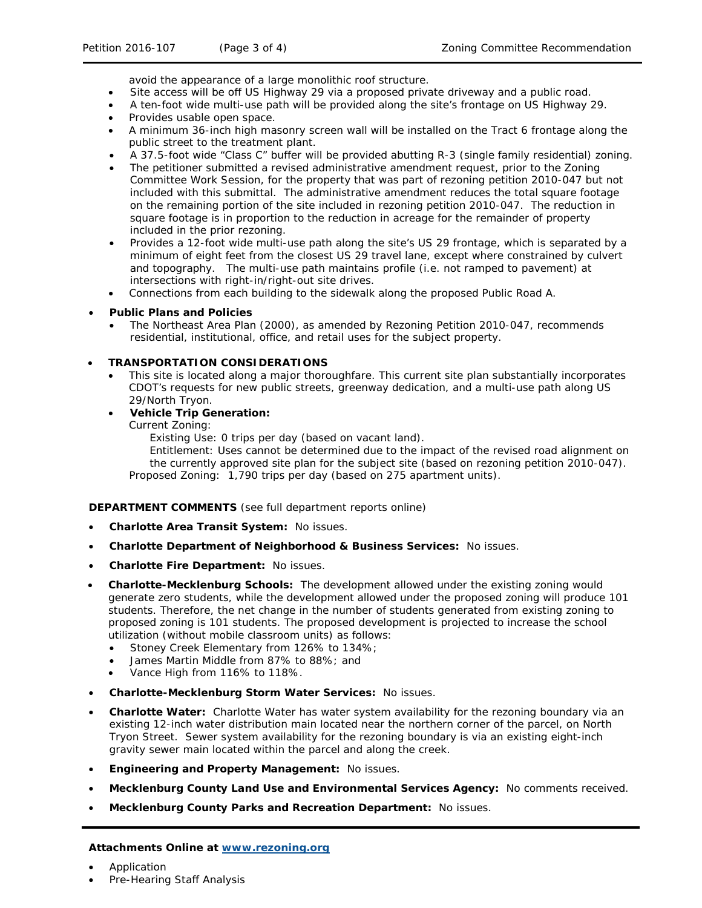avoid the appearance of a large monolithic roof structure.

- Site access will be off US Highway 29 via a proposed private driveway and a public road.
- A ten-foot wide multi-use path will be provided along the site's frontage on US Highway 29.
- Provides usable open space.
- A minimum 36-inch high masonry screen wall will be installed on the Tract 6 frontage along the public street to the treatment plant.
- A 37.5-foot wide "Class C" buffer will be provided abutting R-3 (single family residential) zoning.
- The petitioner submitted a revised administrative amendment request, prior to the Zoning Committee Work Session, for the property that was part of rezoning petition 2010-047 but not included with this submittal. The administrative amendment reduces the total square footage on the remaining portion of the site included in rezoning petition 2010-047. The reduction in square footage is in proportion to the reduction in acreage for the remainder of property included in the prior rezoning.
- Provides a 12-foot wide multi-use path along the site's US 29 frontage, which is separated by a minimum of eight feet from the closest US 29 travel lane, except where constrained by culvert and topography. The multi-use path maintains profile (i.e. not ramped to pavement) at intersections with right-in/right-out site drives.
- Connections from each building to the sidewalk along the proposed Public Road A.

## • **Public Plans and Policies**

• The *Northeast Area Plan* (2000), as amended by Rezoning Petition 2010-047, recommends residential, institutional, office, and retail uses for the subject property.

## • **TRANSPORTATION CONSIDERATIONS**

• This site is located along a major thoroughfare. This current site plan substantially incorporates CDOT's requests for new public streets, greenway dedication, and a multi-use path along US 29/North Tryon.

## • **Vehicle Trip Generation:**

Current Zoning:

Existing Use: 0 trips per day (based on vacant land).

Entitlement: Uses cannot be determined due to the impact of the revised road alignment on the currently approved site plan for the subject site (based on rezoning petition 2010-047). Proposed Zoning: 1,790 trips per day (based on 275 apartment units).

## **DEPARTMENT COMMENTS** (see full department reports online)

- **Charlotte Area Transit System:** No issues.
- **Charlotte Department of Neighborhood & Business Services:** No issues.
- **Charlotte Fire Department:** No issues.
- **Charlotte-Mecklenburg Schools:** The development allowed under the existing zoning would generate zero students, while the development allowed under the proposed zoning will produce 101 students. Therefore, the net change in the number of students generated from existing zoning to proposed zoning is 101 students. The proposed development is projected to increase the school utilization (without mobile classroom units) as follows:
	- Stoney Creek Elementary from 126% to 134%;
	- James Martin Middle from 87% to 88%; and
	- Vance High from 116% to 118%.
- **Charlotte-Mecklenburg Storm Water Services:** No issues.
- **Charlotte Water:** Charlotte Water has water system availability for the rezoning boundary via an existing 12-inch water distribution main located near the northern corner of the parcel, on North Tryon Street. Sewer system availability for the rezoning boundary is via an existing eight-inch gravity sewer main located within the parcel and along the creek.
- **Engineering and Property Management:** No issues.
- **Mecklenburg County Land Use and Environmental Services Agency:** No comments received.
- **Mecklenburg County Parks and Recreation Department:** No issues.

#### **Attachments Online at [www.rezoning.org](http://www.rezoning.org/)**

- Application
- Pre-Hearing Staff Analysis